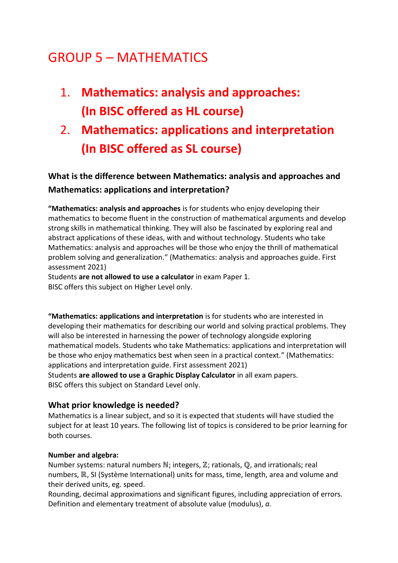# GROUP 5 – MATHEMATICS

- 1. **Mathematics: analysis and approaches: (In BISC offered as HL course)**
- 2. **Mathematics: applications and interpretation (In BISC offered as SL course)**

**What is the difference between Mathematics: analysis and approaches and Mathematics: applications and interpretation?**

**"Mathematics: analysis and approaches** is for students who enjoy developing their mathematics to become fluent in the construction of mathematical arguments and develop strong skills in mathematical thinking. They will also be fascinated by exploring real and abstract applications of these ideas, with and without technology. Students who take Mathematics: analysis and approaches will be those who enjoy the thrill of mathematical problem solving and generalization." (Mathematics: analysis and approaches guide. First assessment 2021)

Students **are not allowed to use a calculator** in exam Paper 1. BISC offers this subject on Higher Level only.

**"Mathematics: applications and interpretation** is for students who are interested in developing their mathematics for describing our world and solving practical problems. They will also be interested in harnessing the power of technology alongside exploring mathematical models. Students who take Mathematics: applications and interpretation will be those who enjoy mathematics best when seen in a practical context." (Mathematics: applications and interpretation guide. First assessment 2021) Students **are allowed to use a Graphic Display Calculator** in all exam papers. BISC offers this subject on Standard Level only.

### **What prior knowledge is needed?**

Mathematics is a linear subject, and so it is expected that students will have studied the subject for at least 10 years. The following list of topics is considered to be prior learning for both courses.

#### **Number and algebra:**

Number systems: natural numbers ℕ; integers, ℤ; rationals, ℚ, and irrationals; real numbers, ℝ, SI (Système International) units for mass, time, length, area and volume and their derived units, eg. speed.

Rounding, decimal approximations and significant figures, including appreciation of errors. Definition and elementary treatment of absolute value (modulus), *a.*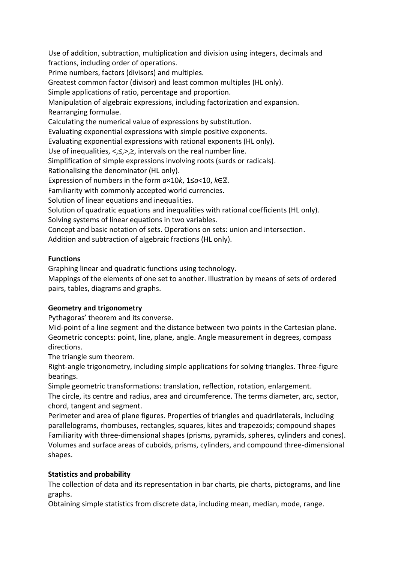Use of addition, subtraction, multiplication and division using integers, decimals and fractions, including order of operations.

Prime numbers, factors (divisors) and multiples.

Greatest common factor (divisor) and least common multiples (HL only).

Simple applications of ratio, percentage and proportion.

Manipulation of algebraic expressions, including factorization and expansion. Rearranging formulae.

Calculating the numerical value of expressions by substitution.

Evaluating exponential expressions with simple positive exponents.

Evaluating exponential expressions with rational exponents (HL only).

Use of inequalities, <,≤,>,≥, intervals on the real number line.

Simplification of simple expressions involving roots (surds or radicals).

Rationalising the denominator (HL only).

Expression of numbers in the form *a*×10*k*, 1≤*a*<10, *k*∈ℤ.

Familiarity with commonly accepted world currencies.

Solution of linear equations and inequalities.

Solution of quadratic equations and inequalities with rational coefficients (HL only). Solving systems of linear equations in two variables.

Concept and basic notation of sets. Operations on sets: union and intersection.

Addition and subtraction of algebraic fractions (HL only).

### **Functions**

Graphing linear and quadratic functions using technology.

Mappings of the elements of one set to another. Illustration by means of sets of ordered pairs, tables, diagrams and graphs.

### **Geometry and trigonometry**

Pythagoras' theorem and its converse.

Mid-point of a line segment and the distance between two points in the Cartesian plane. Geometric concepts: point, line, plane, angle. Angle measurement in degrees, compass directions.

The triangle sum theorem.

Right-angle trigonometry, including simple applications for solving triangles. Three-figure bearings.

Simple geometric transformations: translation, reflection, rotation, enlargement. The circle, its centre and radius, area and circumference. The terms diameter, arc, sector, chord, tangent and segment.

Perimeter and area of plane figures. Properties of triangles and quadrilaterals, including parallelograms, rhombuses, rectangles, squares, kites and trapezoids; compound shapes Familiarity with three-dimensional shapes (prisms, pyramids, spheres, cylinders and cones). Volumes and surface areas of cuboids, prisms, cylinders, and compound three-dimensional shapes.

### **Statistics and probability**

The collection of data and its representation in bar charts, pie charts, pictograms, and line graphs.

Obtaining simple statistics from discrete data, including mean, median, mode, range.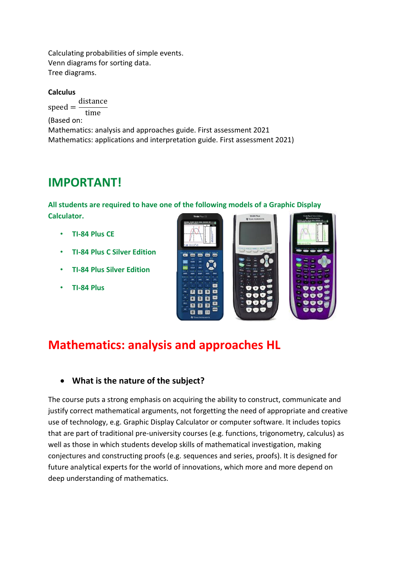Calculating probabilities of simple events. Venn diagrams for sorting data. Tree diagrams.

#### **Calculus**

 $speed =$ distance time (Based on: Mathematics: analysis and approaches guide. First assessment 2021 Mathematics: applications and interpretation guide. First assessment 2021)

## **IMPORTANT!**

**All students are required to have one of the following models of a Graphic Display Calculator.**

- **TI-84 Plus CE**
- **TI-84 Plus C Silver Edition**
- **TI-84 Plus Silver Edition**
- **TI-84 Plus**



## **Mathematics: analysis and approaches HL**

### **What is the nature of the subject?**

The course puts a strong emphasis on acquiring the ability to construct, communicate and justify correct mathematical arguments, not forgetting the need of appropriate and creative use of technology, e.g. Graphic Display Calculator or computer software. It includes topics that are part of traditional pre-university courses (e.g. functions, trigonometry, calculus) as well as those in which students develop skills of mathematical investigation, making conjectures and constructing proofs (e.g. sequences and series, proofs). It is designed for future analytical experts for the world of innovations, which more and more depend on deep understanding of mathematics.